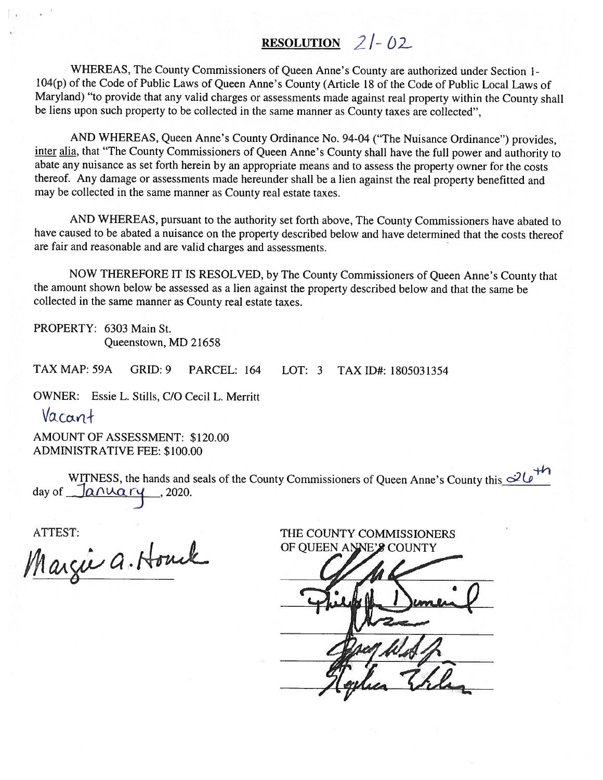# RESOLUTION  $2/-02$

WHEREAS, The County Commissioners of Queen Anne's County are authorized under Section 1-<br>104(p) of the Code of Public Laws of Queen Anne's County (Article 18 of the Code of Public Local Laws of Maryland) "to provide that any valid charges or assessments made against real property within the County shall be liens upon such property to be collected in the same manner as County taxes are collected",

AND WHEREAS, Queen Anne's County Ordinance No. 94-04 ("The Nuisance Ordinance") provides, inter alia, that "The County Commissioners of Queen Anne's County shall have the full power and authority to abate any nuisance as set forth herein by an appropriate means and to assess the property owner for the costs thereof. Any damage or assessments made hereunder shall be <sup>a</sup> lien against the real property benefitted and may be collected in the same manner as County real estate taxes.

AND WHEREAS, pursuan<sup>t</sup> to the authority set forth above, The County Commissioners have abated to have caused to be abated <sup>a</sup> nuisance on the property described below and have determined that the costs thereof are fair and reasonable and are valid charges and assessments.

NOW THEREFORE IT IS RESOLVED, by The County Commissioners of Queen Anne's County that the amount shown below be assessed as <sup>a</sup> lien against the property described below and that the same be collected in the same manner as County real estate taxes.

PROPERTY: 6303 Main St. Queenstown, MD 21658

TAX MAP: 59A GRID: 9 PARCEL: 164 LOT: 3 TAX ID#: 1805031354

OWNER: Essie L. Stills, C/O Cecil L. Merritt

Vacant

AMOUNT OF ASSESSMENT: \$120.00 ADMINISTRATIVE FEE: \$100.00

WITNESS, the hands and seals of the County Commissioners of Queen Anne's County this  $\mathcal{Q}_{\phi}$ day of  $\Box a \wedge \Box a \wedge \Box$ , 2020.

ATTEST: THE COUNTY COMMISSIONERS<br>Margue Q. Houck OF QUEEN ANNE'S COUNTY OF QUEEN ANNE'S COUNTY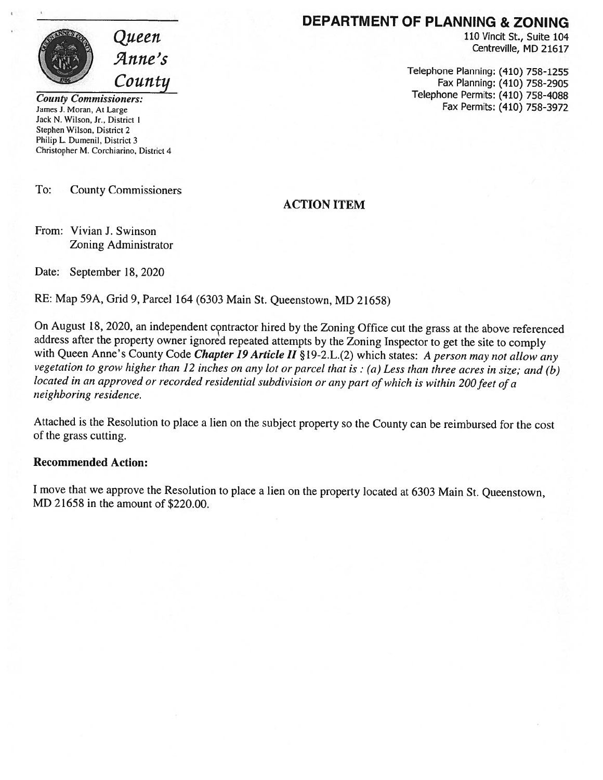

Jack N. Wilson, Jr.. District 1 Stephen Wilson, District 2 Philip L. Dumenil, District 3 Christopher M. Corchiarino, District 4

To: County Commissioners

### DEPARTMENT OF PLANNING & ZONING

Queen 110 Vincit St., Suite 104<br>
Anne's

 $Countity$  Telephone Planning: (410) 758-1255<br>Fax Planning: (410) 758-2905 County Commissioners:  $\overline{Count}$  Telephone Permits: (410) 758-4088 James J. Moran, At Large **Fax Permits: (410) 758-3972** 

#### ACTION ITEM

From: Vivian J. Swinson Zoning Administrator

Date: September 18, 2020

RE: Map 59A, Grid 9, Parcel <sup>164</sup> (6303 Main St. Queenstown, MD 21658)

On August 18, 2020, an independent contractor hired by the Zoning Office cut the grass at the above referenced address after the property owner ignored repeated attempts by the Zoning Inspector to get the site to comply with Queen Anne's County Code Chapter 19 Article II § 19-2.L.(2) which states: A person may not allow any vegetation to grow higher than <sup>12</sup> inches on any lot or parcel that is : (a) Less than three acres in size; and (b) located in an approved or recorded residential subdivision or any part of which is within 200 feet of a neighboring residence.

Attached is the Resolution to <sup>p</sup>lace <sup>a</sup> lien on the subject property so the County can be reimbursed for the cost of the grass cutting.

#### Recommended Action:

<sup>I</sup> move that we approve the Resolution to <sup>p</sup>lace <sup>a</sup> lien on the property located at <sup>6303</sup> Main St. Queenstown, MD 21658 in the amount of \$220.00.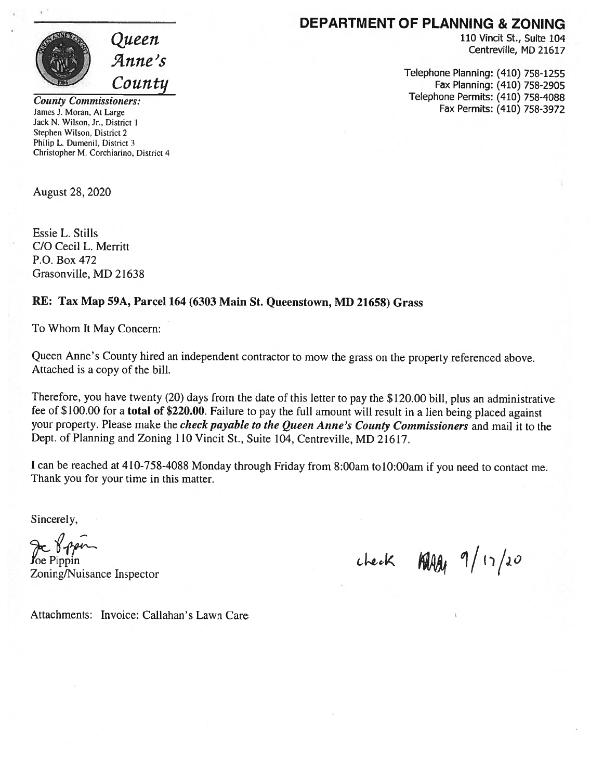

DEPARTMENT OF PLANNING & ZONING

110 Vincit St., Suite 104 Centreville, MD 21617

Telephone Planning: (410) 758-1255 Fax Planning: (410) 758-2905 Telephone Permits: (410) 758-4088 Fax Permits: (410) 758-3972

County Commissioners: James J. Moran, At Large Jack N. Wilson. Jr., District I Stephen Wilson. District 2 Philip L. Dumenil, District 3 Christopher M. Corchiarino. District 4

August 28, 2020

Essie L. Stills CIO Cecil L. Merritt P.O. Box 472 Grasonville, MD 21638

#### RE: Tax Map 59A, Parcel 164 (6303 Main St. Queenstown, MD 21658) Grass

To Whom It May Concern:

Queen Anne's County hired an independent contractor to mow the grass on the property referenced above. Attached is <sup>a</sup> copy of the bill.

Therefore, you have twenty (20) days from the date of this letter to pay the \$120.00 bill, <sup>p</sup>lus an administrative fee of \$100.00 for <sup>a</sup> total of \$220.00. Failure to pay the full amount will result in <sup>a</sup> lien being <sup>p</sup>laced against your property. Please make the *check payable to the Queen Anne's County Commissioners* and mail it to the Dept. of Planning and Zoning 110 Vincit St., Suite 104, Centreville, MD 21617.

<sup>I</sup> can be reached at 410-758-4088 Monday through Friday from 8:00am to 10:00am if you need to contact me. Thank you for your time in this matter.

Sincerely,

Je Vipin

 $\int_{\text{Co-1}}^{\infty} \frac{1}{\sqrt{1-\frac{1}{\sqrt{1-\frac{1}{\sqrt{1-\frac{1}{\sqrt{1-\frac{1}{\sqrt{1-\frac{1}{\sqrt{1-\frac{1}{\sqrt{1-\frac{1}{\sqrt{1-\frac{1}{\sqrt{1-\frac{1}{\sqrt{1-\frac{1}{\sqrt{1-\frac{1}{\sqrt{1-\frac{1}{\sqrt{1-\frac{1}{\sqrt{1-\frac{1}{\sqrt{1-\frac{1}{\sqrt{1-\frac{1}{\sqrt{1-\frac{1}{\sqrt{1-\frac{1}{\sqrt{1-\frac{1}{\sqrt{1-\frac{1}{\sqrt{1-\frac{1}{\sqrt{1-\frac{1}{\sqrt$ 

Attachments: Invoice: Callahan's Lawn Care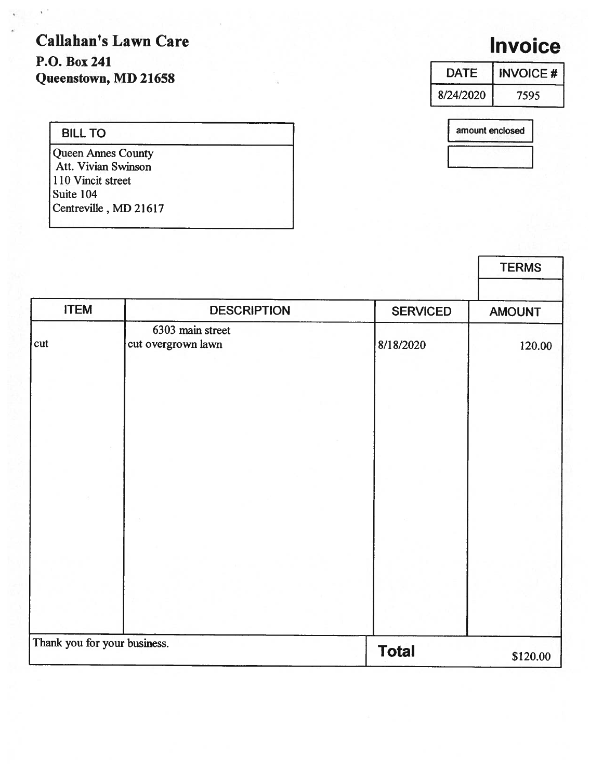Callahan's Lawn Care P.O. Box 241 Queenstown, MD 21658

# Invoice

| <b>DATE</b> | <b>INVOICE#</b> |  |
|-------------|-----------------|--|
| 8/24/2020   | 7595            |  |
|             |                 |  |

amount enclosed

| <b>BILL TO</b>                                   |  |
|--------------------------------------------------|--|
| <b>Queen Annes County</b><br>Att. Vivian Swinson |  |
| 110 Vincit street                                |  |
| Suite 104                                        |  |
| Centreville, MD 21617                            |  |

|                              |                                        |                 | <b>TERMS</b>  |
|------------------------------|----------------------------------------|-----------------|---------------|
| <b>ITEM</b>                  | <b>DESCRIPTION</b>                     | <b>SERVICED</b> | <b>AMOUNT</b> |
| cut                          | 6303 main street<br>cut overgrown lawn | 8/18/2020       | 120.00        |
|                              |                                        |                 |               |
|                              |                                        |                 |               |
|                              |                                        |                 |               |
|                              |                                        |                 |               |
|                              |                                        |                 |               |
|                              |                                        |                 |               |
| Thank you for your business. |                                        | <b>Total</b>    | \$120.00      |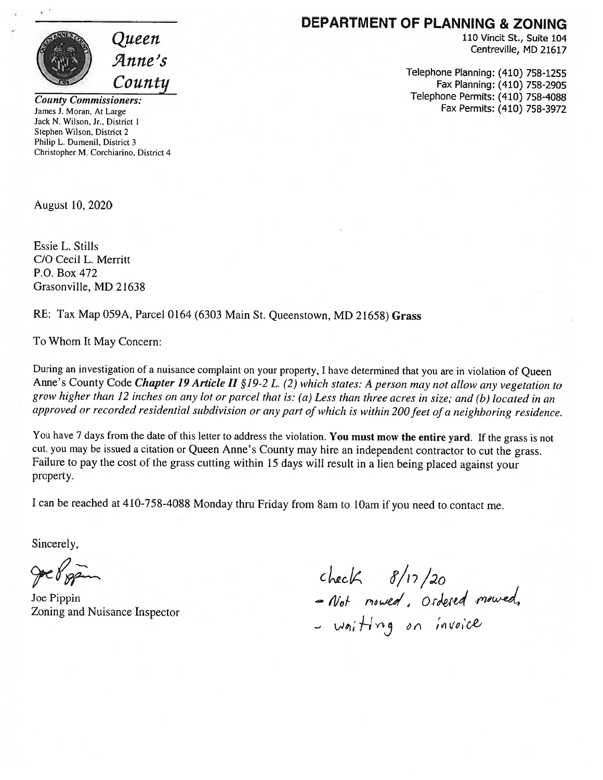

County Commissioners: James J. Moran. At Large Jack N. Wilson. Jr.. District 1 Stephen Wilson. District 2 Philip L. Dumenil. District 3 Christopher M. Corchiarino, District 4

August 10, 2020

Essie L. Stills C/O Cecil L. Merritt P.O. Box 472 Grasonville, MD 21638

#### RE: Tax Map 059A, Parcel <sup>0164</sup> (6303 Main St. Queenstown, MD 21658) Grass

To Whom It May Concern:

During an investigation of <sup>a</sup> nuisance complaint on your property, <sup>I</sup> have determined that you are in violation of Queen Anne's County Code Chapter 19 Article II §19-2 L. (2) which states: A person may not allow any vegetation to grow higher than <sup>12</sup> inches on any lot or parcel that is: (a) Less than three acres in size; and (b) located in an approved or recorded residential subdivision or any part of which is within 200 feet of a neighboring residence.

You have 7 days from the date of this letter to address the violation. You must mow the entire yard. If the grass is not cut, you may be issued <sup>a</sup> citation or Queen Anne's County may hire an independent contractor to cut the grass. Failure to pay the cost of the grass cutting within <sup>15</sup> days will result in <sup>a</sup> lien being <sup>p</sup>laced against your property.

<sup>I</sup> can be reached at 410-758-4088 Monday thru Friday from 8am to lOam if you need to contact me.

Sincerely,

goe Pigan

Joe Pippin

## DEPARTMENT OF PLANNING & ZONING

110 Vincit St., Suite 104 Centreville, MD 21617

Telephone Planning: (410) 758-1255 Fax Planning: (410) 758-2905 Telephone Permits: (410) 758-4088 Fax Permits: (410) 758-3972

zoning and Nuisance Inspector<br>Zoning and Nuisance Inspector  $-$  waiting on  $\prime\prime$